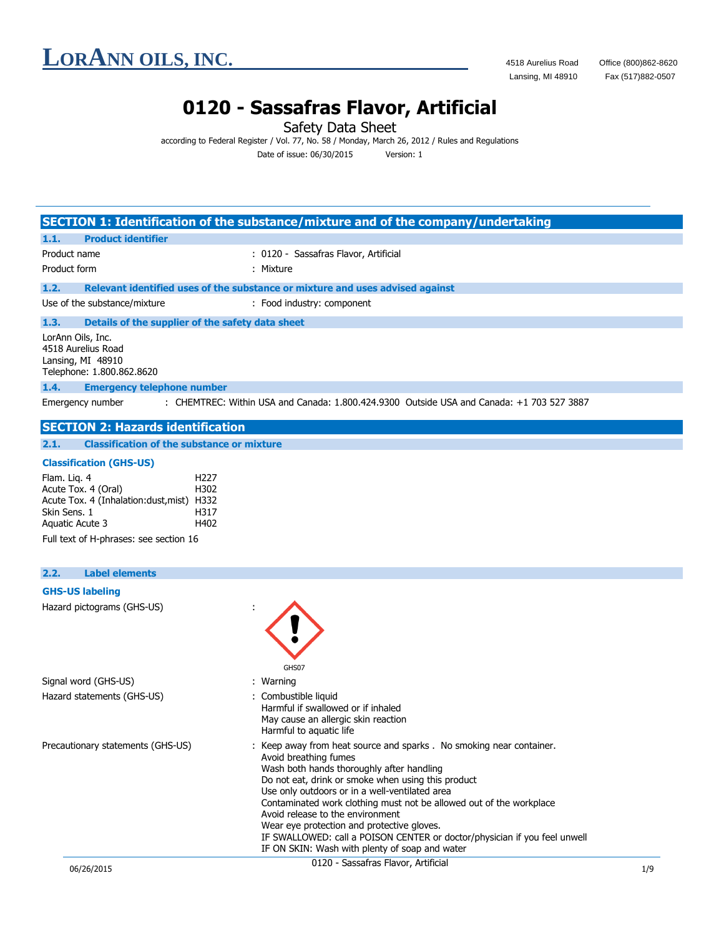**LORANN OILS, INC.** 4518 Aurelius Road Office (800)862-8620<br>Lansing, MI 48910 Fax (517)882-0507

Lansing, MI 48910

### **0120 - Sassafras Flavor, Artificial**

Safety Data Sheet

according to Federal Register / Vol. 77, No. 58 / Monday, March 26, 2012 / Rules and Regulations Date of issue: 06/30/2015 Version: 1

|                                                                                                                                                                                                           | SECTION 1: Identification of the substance/mixture and of the company/undertaking                                                                                                                                                                                                                                                                                                                           |
|-----------------------------------------------------------------------------------------------------------------------------------------------------------------------------------------------------------|-------------------------------------------------------------------------------------------------------------------------------------------------------------------------------------------------------------------------------------------------------------------------------------------------------------------------------------------------------------------------------------------------------------|
| <b>Product identifier</b><br>1.1.                                                                                                                                                                         |                                                                                                                                                                                                                                                                                                                                                                                                             |
| Product name                                                                                                                                                                                              | : 0120 - Sassafras Flavor, Artificial                                                                                                                                                                                                                                                                                                                                                                       |
| Product form                                                                                                                                                                                              | : Mixture                                                                                                                                                                                                                                                                                                                                                                                                   |
| 1.2.                                                                                                                                                                                                      | Relevant identified uses of the substance or mixture and uses advised against                                                                                                                                                                                                                                                                                                                               |
| Use of the substance/mixture                                                                                                                                                                              | : Food industry: component                                                                                                                                                                                                                                                                                                                                                                                  |
| 1.3.<br>Details of the supplier of the safety data sheet                                                                                                                                                  |                                                                                                                                                                                                                                                                                                                                                                                                             |
| LorAnn Oils, Inc.<br>4518 Aurelius Road<br>Lansing, MI 48910<br>Telephone: 1.800.862.8620                                                                                                                 |                                                                                                                                                                                                                                                                                                                                                                                                             |
| 1.4.<br><b>Emergency telephone number</b>                                                                                                                                                                 |                                                                                                                                                                                                                                                                                                                                                                                                             |
| Emergency number                                                                                                                                                                                          | : CHEMTREC: Within USA and Canada: 1.800.424.9300 Outside USA and Canada: +1 703 527 3887                                                                                                                                                                                                                                                                                                                   |
| <b>SECTION 2: Hazards identification</b>                                                                                                                                                                  |                                                                                                                                                                                                                                                                                                                                                                                                             |
| <b>Classification of the substance or mixture</b><br>2.1.                                                                                                                                                 |                                                                                                                                                                                                                                                                                                                                                                                                             |
| <b>Classification (GHS-US)</b>                                                                                                                                                                            |                                                                                                                                                                                                                                                                                                                                                                                                             |
| Flam. Lig. 4<br>H <sub>227</sub><br>H302<br>Acute Tox. 4 (Oral)<br>Acute Tox. 4 (Inhalation:dust, mist) H332<br>Skin Sens. 1<br>H317<br>H402<br>Aquatic Acute 3<br>Full text of H-phrases: see section 16 |                                                                                                                                                                                                                                                                                                                                                                                                             |
| <b>Label elements</b><br>2.2.                                                                                                                                                                             |                                                                                                                                                                                                                                                                                                                                                                                                             |
| <b>GHS-US labeling</b>                                                                                                                                                                                    |                                                                                                                                                                                                                                                                                                                                                                                                             |
| Hazard pictograms (GHS-US)                                                                                                                                                                                | GHS07                                                                                                                                                                                                                                                                                                                                                                                                       |
| Signal word (GHS-US)                                                                                                                                                                                      | : Warning                                                                                                                                                                                                                                                                                                                                                                                                   |
| Hazard statements (GHS-US)                                                                                                                                                                                | : Combustible liquid<br>Harmful if swallowed or if inhaled<br>May cause an allergic skin reaction<br>Harmful to aquatic life                                                                                                                                                                                                                                                                                |
| Precautionary statements (GHS-US)                                                                                                                                                                         | : Keep away from heat source and sparks . No smoking near container.<br>Avoid breathing fumes<br>Wash both hands thoroughly after handling<br>Do not eat, drink or smoke when using this product<br>Use only outdoors or in a well-ventilated area<br>Contaminated work clothing must not be allowed out of the workplace<br>Avoid release to the environment<br>Wear eye protection and protective gloves. |

IF SWALLOWED: call a POISON CENTER or doctor/physician if you feel unwell

IF ON SKIN: Wash with plenty of soap and water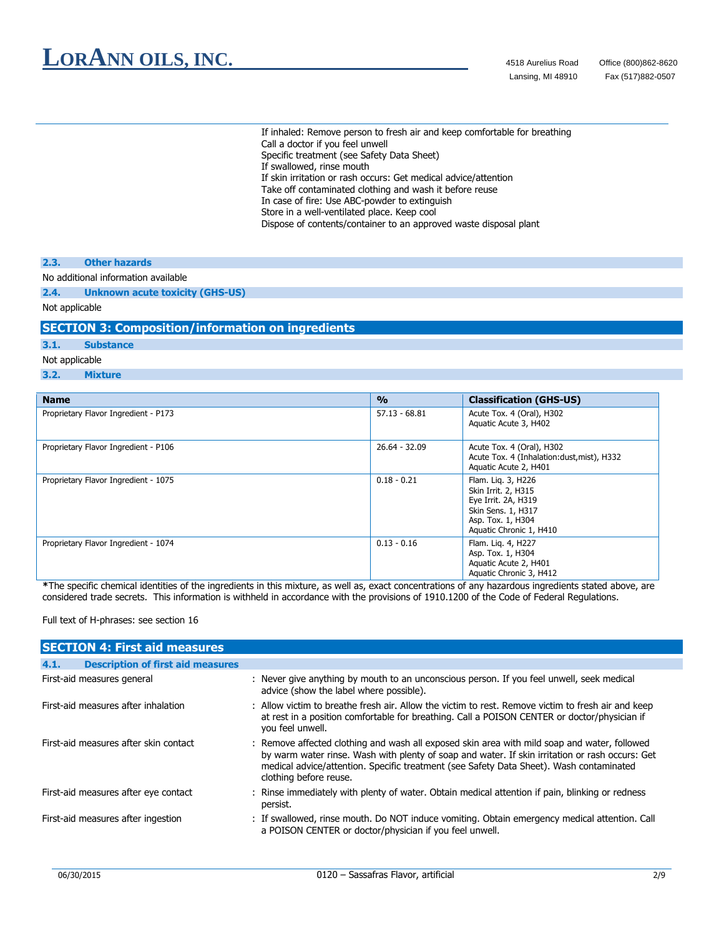If inhaled: Remove person to fresh air and keep comfortable for breathing Call a doctor if you feel unwell Specific treatment (see Safety Data Sheet) If swallowed, rinse mouth If skin irritation or rash occurs: Get medical advice/attention Take off contaminated clothing and wash it before reuse In case of fire: Use ABC-powder to extinguish Store in a well-ventilated place. Keep cool Dispose of contents/container to an approved waste disposal plant

#### **2.3. Other hazards**

#### No additional information available

**2.4. Unknown acute toxicity (GHS-US)**

#### Not applicable

#### **SECTION 3: Composition/information on ingredients**

#### **3.1. Substance**

#### Not applicable

**3.2. Mixture**

| <b>Name</b>                          | $\frac{0}{0}$   | <b>Classification (GHS-US)</b>                                                                                                         |
|--------------------------------------|-----------------|----------------------------------------------------------------------------------------------------------------------------------------|
| Proprietary Flavor Ingredient - P173 | $57.13 - 68.81$ | Acute Tox. 4 (Oral), H302<br>Aquatic Acute 3, H402                                                                                     |
| Proprietary Flavor Ingredient - P106 | 26.64 - 32.09   | Acute Tox. 4 (Oral), H302<br>Acute Tox. 4 (Inhalation:dust, mist), H332<br>Aquatic Acute 2, H401                                       |
| Proprietary Flavor Ingredient - 1075 | $0.18 - 0.21$   | Flam. Lig. 3, H226<br>Skin Irrit. 2, H315<br>Eye Irrit. 2A, H319<br>Skin Sens. 1, H317<br>Asp. Tox. 1, H304<br>Aquatic Chronic 1, H410 |
| Proprietary Flavor Ingredient - 1074 | $0.13 - 0.16$   | Flam. Lig. 4, H227<br>Asp. Tox. 1, H304<br>Aquatic Acute 2, H401<br>Aquatic Chronic 3, H412                                            |

**\***The specific chemical identities of the ingredients in this mixture, as well as, exact concentrations of any hazardous ingredients stated above, are considered trade secrets. This information is withheld in accordance with the provisions of 1910.1200 of the Code of Federal Regulations.

Full text of H-phrases: see section 16

| <b>SECTION 4: First aid measures</b>             |                                                                                                                                                                                                                                                                                                                      |  |  |  |
|--------------------------------------------------|----------------------------------------------------------------------------------------------------------------------------------------------------------------------------------------------------------------------------------------------------------------------------------------------------------------------|--|--|--|
| <b>Description of first aid measures</b><br>4.1. |                                                                                                                                                                                                                                                                                                                      |  |  |  |
| First-aid measures general                       | : Never give anything by mouth to an unconscious person. If you feel unwell, seek medical<br>advice (show the label where possible).                                                                                                                                                                                 |  |  |  |
| First-aid measures after inhalation              | : Allow victim to breathe fresh air. Allow the victim to rest. Remove victim to fresh air and keep<br>at rest in a position comfortable for breathing. Call a POISON CENTER or doctor/physician if<br>you feel unwell.                                                                                               |  |  |  |
| First-aid measures after skin contact            | : Remove affected clothing and wash all exposed skin area with mild soap and water, followed<br>by warm water rinse. Wash with plenty of soap and water. If skin irritation or rash occurs: Get<br>medical advice/attention. Specific treatment (see Safety Data Sheet). Wash contaminated<br>clothing before reuse. |  |  |  |
| First-aid measures after eye contact             | : Rinse immediately with plenty of water. Obtain medical attention if pain, blinking or redness<br>persist.                                                                                                                                                                                                          |  |  |  |
| First-aid measures after ingestion               | : If swallowed, rinse mouth. Do NOT induce vomiting. Obtain emergency medical attention. Call<br>a POISON CENTER or doctor/physician if you feel unwell.                                                                                                                                                             |  |  |  |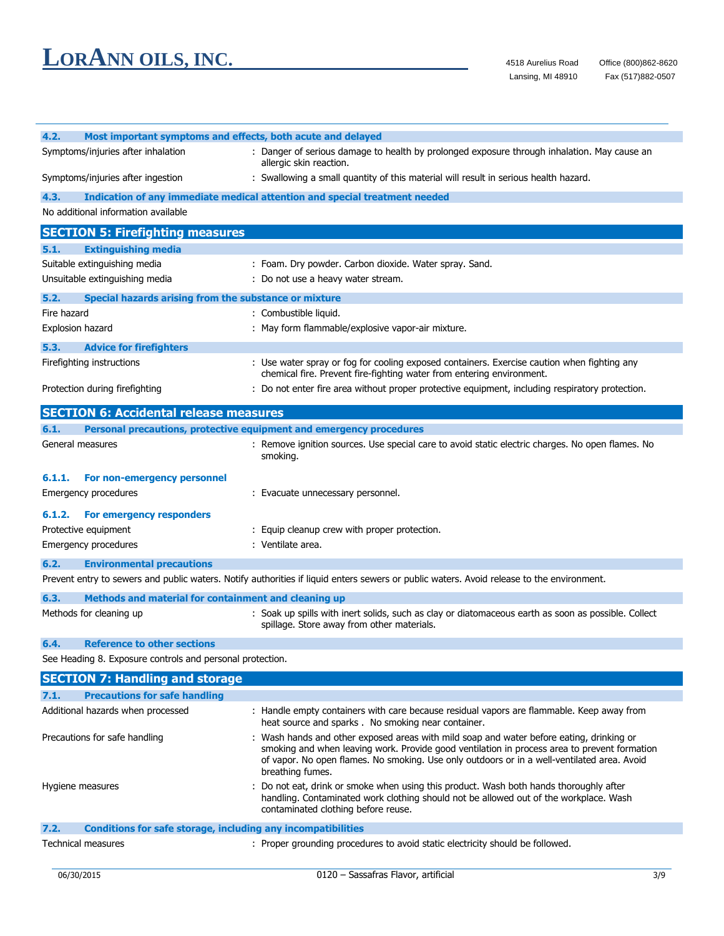| 4.2.<br>Most important symptoms and effects, both acute and delayed         |                                                                                                                                                                                                                                                                                                             |
|-----------------------------------------------------------------------------|-------------------------------------------------------------------------------------------------------------------------------------------------------------------------------------------------------------------------------------------------------------------------------------------------------------|
| Symptoms/injuries after inhalation                                          | : Danger of serious damage to health by prolonged exposure through inhalation. May cause an<br>allergic skin reaction.                                                                                                                                                                                      |
| Symptoms/injuries after ingestion                                           | : Swallowing a small quantity of this material will result in serious health hazard.                                                                                                                                                                                                                        |
| 4.3.                                                                        | Indication of any immediate medical attention and special treatment needed                                                                                                                                                                                                                                  |
| No additional information available                                         |                                                                                                                                                                                                                                                                                                             |
| <b>SECTION 5: Firefighting measures</b>                                     |                                                                                                                                                                                                                                                                                                             |
| 5.1.<br><b>Extinguishing media</b>                                          |                                                                                                                                                                                                                                                                                                             |
| Suitable extinguishing media                                                | : Foam. Dry powder. Carbon dioxide. Water spray. Sand.                                                                                                                                                                                                                                                      |
| Unsuitable extinguishing media                                              | : Do not use a heavy water stream.                                                                                                                                                                                                                                                                          |
| 5.2.<br>Special hazards arising from the substance or mixture               |                                                                                                                                                                                                                                                                                                             |
| Fire hazard                                                                 | : Combustible liquid.                                                                                                                                                                                                                                                                                       |
| Explosion hazard                                                            | : May form flammable/explosive vapor-air mixture.                                                                                                                                                                                                                                                           |
|                                                                             |                                                                                                                                                                                                                                                                                                             |
| 5.3.<br><b>Advice for firefighters</b>                                      |                                                                                                                                                                                                                                                                                                             |
| Firefighting instructions                                                   | : Use water spray or fog for cooling exposed containers. Exercise caution when fighting any<br>chemical fire. Prevent fire-fighting water from entering environment.                                                                                                                                        |
| Protection during firefighting                                              | : Do not enter fire area without proper protective equipment, including respiratory protection.                                                                                                                                                                                                             |
|                                                                             |                                                                                                                                                                                                                                                                                                             |
| <b>SECTION 6: Accidental release measures</b>                               |                                                                                                                                                                                                                                                                                                             |
| 6.1.                                                                        | Personal precautions, protective equipment and emergency procedures                                                                                                                                                                                                                                         |
| General measures                                                            | : Remove ignition sources. Use special care to avoid static electric charges. No open flames. No<br>smoking.                                                                                                                                                                                                |
| 6.1.1.<br>For non-emergency personnel                                       |                                                                                                                                                                                                                                                                                                             |
| Emergency procedures                                                        | : Evacuate unnecessary personnel.                                                                                                                                                                                                                                                                           |
|                                                                             |                                                                                                                                                                                                                                                                                                             |
| 6.1.2.<br>For emergency responders                                          |                                                                                                                                                                                                                                                                                                             |
| Protective equipment                                                        | : Equip cleanup crew with proper protection.<br>: Ventilate area.                                                                                                                                                                                                                                           |
| Emergency procedures                                                        |                                                                                                                                                                                                                                                                                                             |
| 6.2.<br><b>Environmental precautions</b>                                    |                                                                                                                                                                                                                                                                                                             |
|                                                                             | Prevent entry to sewers and public waters. Notify authorities if liquid enters sewers or public waters. Avoid release to the environment.                                                                                                                                                                   |
| 6.3.<br>Methods and material for containment and cleaning up                |                                                                                                                                                                                                                                                                                                             |
| Methods for cleaning up                                                     | : Soak up spills with inert solids, such as clay or diatomaceous earth as soon as possible. Collect<br>spillage. Store away from other materials.                                                                                                                                                           |
| <b>Reference to other sections</b><br>6.4.                                  |                                                                                                                                                                                                                                                                                                             |
| See Heading 8. Exposure controls and personal protection.                   |                                                                                                                                                                                                                                                                                                             |
| <b>SECTION 7: Handling and storage</b>                                      |                                                                                                                                                                                                                                                                                                             |
| 7.1.<br><b>Precautions for safe handling</b>                                |                                                                                                                                                                                                                                                                                                             |
| Additional hazards when processed                                           | : Handle empty containers with care because residual vapors are flammable. Keep away from                                                                                                                                                                                                                   |
|                                                                             | heat source and sparks. No smoking near container.                                                                                                                                                                                                                                                          |
| Precautions for safe handling                                               | : Wash hands and other exposed areas with mild soap and water before eating, drinking or<br>smoking and when leaving work. Provide good ventilation in process area to prevent formation<br>of vapor. No open flames. No smoking. Use only outdoors or in a well-ventilated area. Avoid<br>breathing fumes. |
| Hygiene measures                                                            | : Do not eat, drink or smoke when using this product. Wash both hands thoroughly after<br>handling. Contaminated work clothing should not be allowed out of the workplace. Wash<br>contaminated clothing before reuse.                                                                                      |
| 7.2.<br><b>Conditions for safe storage, including any incompatibilities</b> |                                                                                                                                                                                                                                                                                                             |
| <b>Technical measures</b>                                                   | : Proper grounding procedures to avoid static electricity should be followed.                                                                                                                                                                                                                               |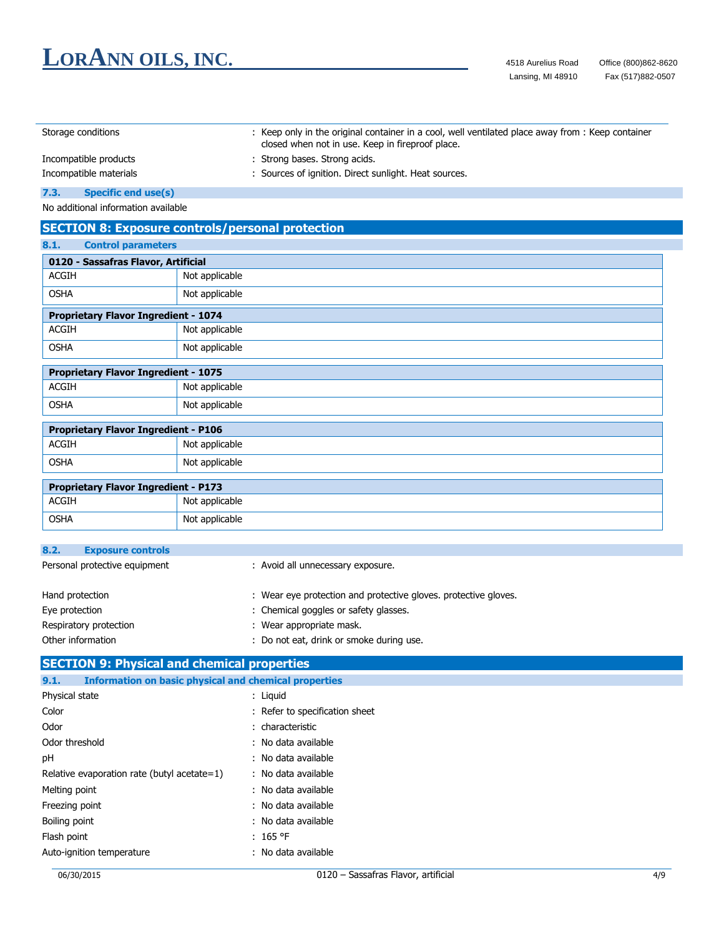| Storage conditions     |                            | : Keep only in the original container in a cool, well ventilated place away from : Keep container<br>closed when not in use. Keep in fireproof place. |  |  |  |
|------------------------|----------------------------|-------------------------------------------------------------------------------------------------------------------------------------------------------|--|--|--|
| Incompatible products  |                            | : Strong bases. Strong acids.                                                                                                                         |  |  |  |
| Incompatible materials |                            | : Sources of ignition. Direct sunlight. Heat sources.                                                                                                 |  |  |  |
| 7.3.                   | <b>Specific end use(s)</b> |                                                                                                                                                       |  |  |  |

No additional information available

#### **SECTION 8: Exposure controls/personal protection**

#### **8.1. Control parameters**

OSHA Not applicable

| 0120 - Sassafras Flavor, Artificial         |                |  |
|---------------------------------------------|----------------|--|
| <b>ACGIH</b>                                | Not applicable |  |
| <b>OSHA</b>                                 | Not applicable |  |
| <b>Proprietary Flavor Ingredient - 1074</b> |                |  |
| ACGIH                                       | Not applicable |  |

| <b>Proprietary Flavor Ingredient - 1075</b> |                |  |  |
|---------------------------------------------|----------------|--|--|
| ACGIH                                       | Not applicable |  |  |
| OSHA                                        | Not applicable |  |  |

| <b>Proprietary Flavor Ingredient - P106</b> |                |  |  |
|---------------------------------------------|----------------|--|--|
| ACGIH                                       | Not applicable |  |  |
| OSHA                                        | Not applicable |  |  |
|                                             |                |  |  |

| <b>Proprietary Flavor Ingredient - P173</b> |                |  |  |
|---------------------------------------------|----------------|--|--|
| ACGIH                                       | Not applicable |  |  |
| OSHA                                        | Not applicable |  |  |

| 8.2.                          | <b>Exposure controls</b> |                                                                 |
|-------------------------------|--------------------------|-----------------------------------------------------------------|
| Personal protective equipment |                          | : Avoid all unnecessary exposure.                               |
| Hand protection               |                          | : Wear eye protection and protective gloves, protective gloves. |
| Eye protection                |                          | : Chemical goggles or safety glasses.                           |
|                               | Respiratory protection   | : Wear appropriate mask.                                        |
| Other information             |                          | Do not eat, drink or smoke during use.                          |

#### **SECTION 9: Physical and chemical properties 9.1. Information on basic physical and chemical properties** Physical state : Liquid Color : Refer to specification sheet Odor : characteristic Odor threshold : No data available : pH : No data available Relative evaporation rate (butyl acetate=1) : No data available Melting point **in the case of the case of the case of the case of the case of the case of the case of the case of the case of the case of the case of the case of the case of the case of the case of the case of the case of** Freezing point **in the case of the case of the case of the case of the case of the case of the case of the case of the case of the case of the case of the case of the case of the case of the case of the case of the case of** Boiling point : No data available Flash point : 165 °F Auto-ignition temperature **interpretature** : No data available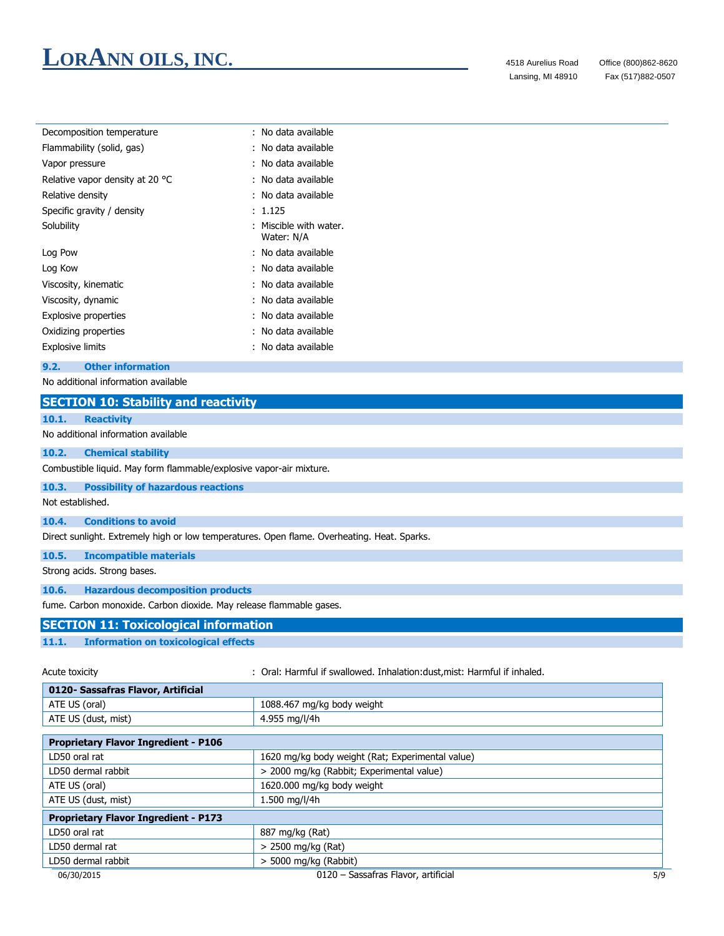Lansing, MI 48910

| : No data available                |
|------------------------------------|
| : No data available                |
| : No data available                |
| : No data available                |
| : No data available                |
| : 1.125                            |
| Miscible with water.<br>Water: N/A |
| : No data available                |
| : No data available                |
| : No data available                |
| : No data available                |
| : No data available                |
| : No data available                |
| : No data available                |
|                                    |

#### **9.2. Other information**

No additional information available

#### **SECTION 10: Stability and reactivity**

#### **10.1. Reactivity**

No additional information available

#### **10.2. Chemical stability**

Combustible liquid. May form flammable/explosive vapor-air mixture.

#### **10.3. Possibility of hazardous reactions**

Not established.

#### **10.4. Conditions to avoid**

Direct sunlight. Extremely high or low temperatures. Open flame. Overheating. Heat. Sparks.

#### **10.5. Incompatible materials**

Strong acids. Strong bases.

#### **10.6. Hazardous decomposition products**

fume. Carbon monoxide. Carbon dioxide. May release flammable gases.

#### **SECTION 11: Toxicological information**

#### **11.1. Information on toxicological effects**

Acute toxicity **in the sum of the Cauca Coral: Harmful if swallowed. Inhalation:dust, mist: Harmful if inhaled.** 

| 0120- Sassafras Flavor, Artificial          |                                                  |
|---------------------------------------------|--------------------------------------------------|
| ATE US (oral)                               | 1088.467 mg/kg body weight                       |
| ATE US (dust, mist)                         | 4.955 mg/l/4h                                    |
|                                             |                                                  |
| <b>Proprietary Flavor Ingredient - P106</b> |                                                  |
| LD50 oral rat                               | 1620 mg/kg body weight (Rat; Experimental value) |
| LD50 dermal rabbit                          | > 2000 mg/kg (Rabbit; Experimental value)        |
| ATE US (oral)                               | 1620.000 mg/kg body weight                       |
| ATE US (dust, mist)                         | 1.500 mg/l/4h                                    |
| <b>Proprietary Flavor Ingredient - P173</b> |                                                  |
| LD50 oral rat                               | 887 mg/kg (Rat)                                  |
| LD50 dermal rat                             | > 2500 mg/kg (Rat)                               |
| LD50 dermal rabbit                          | $>$ 5000 mg/kg (Rabbit)                          |
| 06/30/2015                                  | 0120 - Sassafras Flavor, artificial<br>5/9       |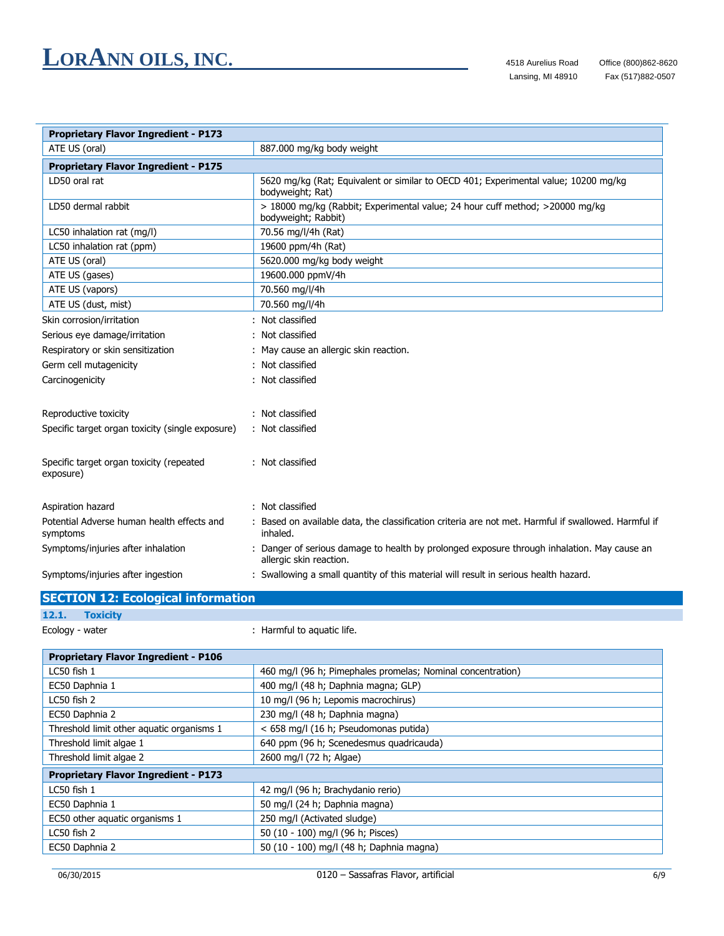L,

| <b>Proprietary Flavor Ingredient - P173</b>            |                                                                                                                      |
|--------------------------------------------------------|----------------------------------------------------------------------------------------------------------------------|
| ATE US (oral)                                          | 887.000 mg/kg body weight                                                                                            |
| <b>Proprietary Flavor Ingredient - P175</b>            |                                                                                                                      |
| LD50 oral rat                                          | 5620 mg/kg (Rat; Equivalent or similar to OECD 401; Experimental value; 10200 mg/kg<br>bodyweight; Rat)              |
| LD50 dermal rabbit                                     | > 18000 mg/kg (Rabbit; Experimental value; 24 hour cuff method; >20000 mg/kg<br>bodyweight; Rabbit)                  |
| LC50 inhalation rat (mg/l)                             | 70.56 mg/l/4h (Rat)                                                                                                  |
| LC50 inhalation rat (ppm)                              | 19600 ppm/4h (Rat)                                                                                                   |
| ATE US (oral)                                          | 5620.000 mg/kg body weight                                                                                           |
| ATE US (gases)                                         | 19600.000 ppmV/4h                                                                                                    |
| ATE US (vapors)                                        | 70.560 mg/l/4h                                                                                                       |
| ATE US (dust, mist)                                    | 70.560 mg/l/4h                                                                                                       |
| Skin corrosion/irritation                              | Not classified                                                                                                       |
| Serious eye damage/irritation                          | Not classified                                                                                                       |
| Respiratory or skin sensitization                      | May cause an allergic skin reaction.                                                                                 |
| Germ cell mutagenicity                                 | Not classified                                                                                                       |
| Carcinogenicity                                        | Not classified                                                                                                       |
| Reproductive toxicity                                  | Not classified                                                                                                       |
| Specific target organ toxicity (single exposure)       | : Not classified                                                                                                     |
| Specific target organ toxicity (repeated<br>exposure)  | : Not classified                                                                                                     |
| Aspiration hazard                                      | Not classified                                                                                                       |
| Potential Adverse human health effects and<br>symptoms | : Based on available data, the classification criteria are not met. Harmful if swallowed. Harmful if<br>inhaled.     |
| Symptoms/injuries after inhalation                     | Danger of serious damage to health by prolonged exposure through inhalation. May cause an<br>allergic skin reaction. |
| Symptoms/injuries after ingestion                      | : Swallowing a small quantity of this material will result in serious health hazard.                                 |

|                 | <b>SECTION 12: Ecological information</b> |                            |
|-----------------|-------------------------------------------|----------------------------|
| 12.1.           | <b>Toxicity</b>                           |                            |
| Ecology - water |                                           | : Harmful to aquatic life. |

| <b>Proprietary Flavor Ingredient - P106</b> |                                                             |  |
|---------------------------------------------|-------------------------------------------------------------|--|
| $LC50$ fish $1$                             | 460 mg/l (96 h; Pimephales promelas; Nominal concentration) |  |
| EC50 Daphnia 1                              | 400 mg/l (48 h; Daphnia magna; GLP)                         |  |
| $LC50$ fish $2$                             | 10 mg/l (96 h; Lepomis macrochirus)                         |  |
| EC50 Daphnia 2                              | 230 mg/l (48 h; Daphnia magna)                              |  |
| Threshold limit other aquatic organisms 1   | < 658 mg/l (16 h; Pseudomonas putida)                       |  |
| Threshold limit algae 1                     | 640 ppm (96 h; Scenedesmus quadricauda)                     |  |
| Threshold limit algae 2                     | 2600 mg/l (72 h; Algae)                                     |  |
| <b>Proprietary Flavor Ingredient - P173</b> |                                                             |  |
| LC50 fish 1                                 | 42 mg/l (96 h; Brachydanio rerio)                           |  |
| EC50 Daphnia 1                              | 50 mg/l (24 h; Daphnia magna)                               |  |
| EC50 other aquatic organisms 1              | 250 mg/l (Activated sludge)                                 |  |
| LC50 fish 2                                 | 50 (10 - 100) mg/l (96 h; Pisces)                           |  |
| EC50 Daphnia 2                              | 50 (10 - 100) mg/l (48 h; Daphnia magna)                    |  |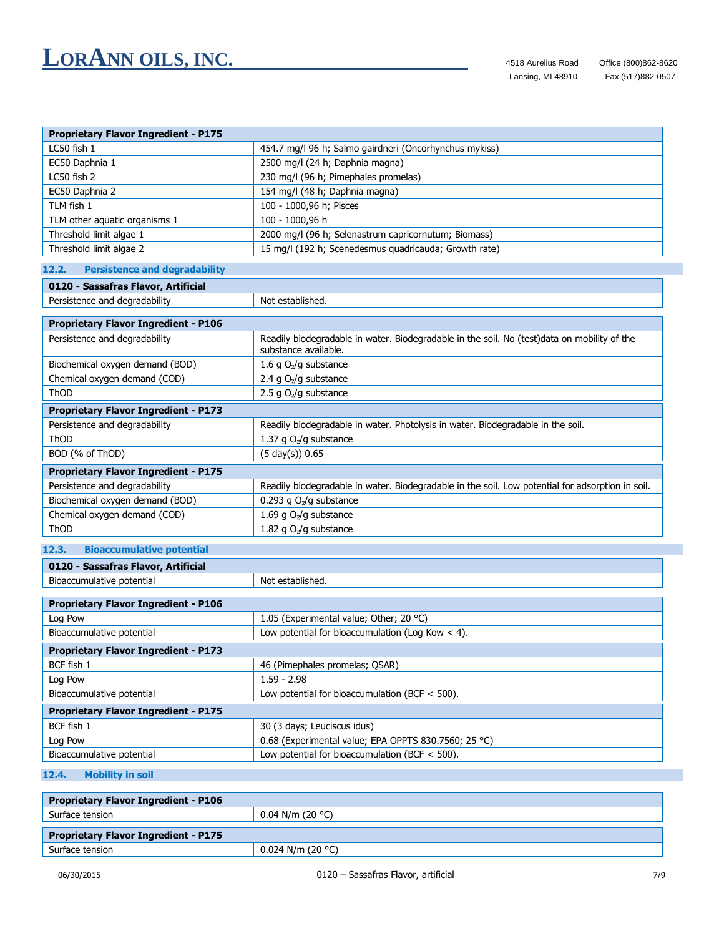| <b>Proprietary Flavor Ingredient - P175</b> |                                                        |  |
|---------------------------------------------|--------------------------------------------------------|--|
| LC50 fish 1                                 | 454.7 mg/l 96 h; Salmo gairdneri (Oncorhynchus mykiss) |  |
| EC50 Daphnia 1                              | 2500 mg/l (24 h; Daphnia magna)                        |  |
| LC50 fish 2                                 | 230 mg/l (96 h; Pimephales promelas)                   |  |
| EC50 Daphnia 2                              | 154 mg/l (48 h; Daphnia magna)                         |  |
| TLM fish 1                                  | 100 - 1000,96 h; Pisces                                |  |
| TLM other aquatic organisms 1               | 100 - 1000,96 h                                        |  |
| Threshold limit algae 1                     | 2000 mg/l (96 h; Selenastrum capricornutum; Biomass)   |  |
| Threshold limit algae 2                     | 15 mg/l (192 h; Scenedesmus quadricauda; Growth rate)  |  |

#### **12.2. Persistence and degradability**

| 0120 - Sassafras Flavor, Artificial         |                                                                                                                     |  |
|---------------------------------------------|---------------------------------------------------------------------------------------------------------------------|--|
| Persistence and degradability               | Not established.                                                                                                    |  |
|                                             |                                                                                                                     |  |
| <b>Proprietary Flavor Ingredient - P106</b> |                                                                                                                     |  |
| Persistence and degradability               | Readily biodegradable in water. Biodegradable in the soil. No (test)data on mobility of the<br>substance available. |  |
| Biochemical oxygen demand (BOD)             | 1.6 g O <sub>2</sub> /g substance                                                                                   |  |
| Chemical oxygen demand (COD)                | 2.4 g $O_2$ /g substance                                                                                            |  |
| ThOD                                        | 2.5 g $O_2$ /g substance                                                                                            |  |
| <b>Proprietary Flavor Ingredient - P173</b> |                                                                                                                     |  |
| Persistence and degradability               | Readily biodegradable in water. Photolysis in water. Biodegradable in the soil.                                     |  |
| ThOD                                        | 1.37 g O <sub>2</sub> /g substance                                                                                  |  |
| BOD (% of ThOD)                             | $(5 \text{ day}(s)) 0.65$                                                                                           |  |
| <b>Proprietary Flavor Ingredient - P175</b> |                                                                                                                     |  |
| Persistence and degradability               | Readily biodegradable in water. Biodegradable in the soil. Low potential for adsorption in soil.                    |  |
| Biochemical oxygen demand (BOD)             | 0.293 g O <sub>2</sub> /g substance                                                                                 |  |
|                                             |                                                                                                                     |  |
| Chemical oxygen demand (COD)                | 1.69 g O <sub>2</sub> /g substance                                                                                  |  |

|                                     | <b>Bioaccumulative potential</b>            | 12.3. |
|-------------------------------------|---------------------------------------------|-------|
| 0120 - Sassafras Flavor, Artificial |                                             |       |
|                                     | Bioaccumulative potential                   |       |
|                                     |                                             |       |
|                                     | <b>Proprietary Flavor Ingredient - P106</b> |       |

| Proprietary Flavor Ingredient - P100                 |  |  |
|------------------------------------------------------|--|--|
| 1.05 (Experimental value; Other; 20 °C)              |  |  |
| Low potential for bioaccumulation (Log Kow $<$ 4).   |  |  |
| <b>Proprietary Flavor Ingredient - P173</b>          |  |  |
| 46 (Pimephales promelas; QSAR)                       |  |  |
| $1.59 - 2.98$                                        |  |  |
| Low potential for bioaccumulation (BCF $<$ 500).     |  |  |
| <b>Proprietary Flavor Ingredient - P175</b>          |  |  |
| 30 (3 days; Leuciscus idus)                          |  |  |
| 0.68 (Experimental value; EPA OPPTS 830.7560; 25 °C) |  |  |
| Low potential for bioaccumulation (BCF $<$ 500).     |  |  |
|                                                      |  |  |

#### **12.4. Mobility in soil**

| <b>Proprietary Flavor Ingredient - P106</b> |  |  |
|---------------------------------------------|--|--|
| $0.04$ N/m (20 °C)                          |  |  |
| <b>Proprietary Flavor Ingredient - P175</b> |  |  |
| $0.024$ N/m (20 °C)                         |  |  |
|                                             |  |  |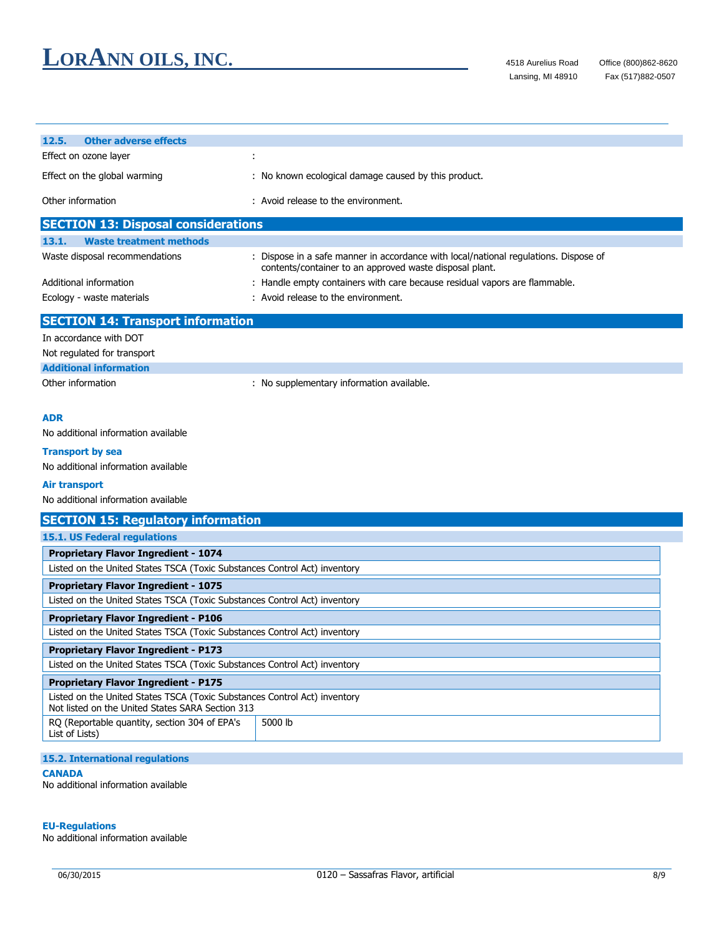| <b>Other adverse effects</b><br>12.5.                                                                                         |                                                                                                                                                 |  |
|-------------------------------------------------------------------------------------------------------------------------------|-------------------------------------------------------------------------------------------------------------------------------------------------|--|
| Effect on ozone layer                                                                                                         |                                                                                                                                                 |  |
|                                                                                                                               |                                                                                                                                                 |  |
| Effect on the global warming                                                                                                  | : No known ecological damage caused by this product.                                                                                            |  |
| Other information                                                                                                             | : Avoid release to the environment.                                                                                                             |  |
| <b>SECTION 13: Disposal considerations</b>                                                                                    |                                                                                                                                                 |  |
| 13.1.<br><b>Waste treatment methods</b>                                                                                       |                                                                                                                                                 |  |
| Waste disposal recommendations                                                                                                | : Dispose in a safe manner in accordance with local/national regulations. Dispose of<br>contents/container to an approved waste disposal plant. |  |
| Additional information                                                                                                        | : Handle empty containers with care because residual vapors are flammable.                                                                      |  |
| Ecology - waste materials                                                                                                     | : Avoid release to the environment.                                                                                                             |  |
| <b>SECTION 14: Transport information</b>                                                                                      |                                                                                                                                                 |  |
| In accordance with DOT                                                                                                        |                                                                                                                                                 |  |
| Not regulated for transport                                                                                                   |                                                                                                                                                 |  |
| <b>Additional information</b>                                                                                                 |                                                                                                                                                 |  |
| Other information                                                                                                             | : No supplementary information available.                                                                                                       |  |
|                                                                                                                               |                                                                                                                                                 |  |
| <b>ADR</b>                                                                                                                    |                                                                                                                                                 |  |
| No additional information available                                                                                           |                                                                                                                                                 |  |
| <b>Transport by sea</b>                                                                                                       |                                                                                                                                                 |  |
| No additional information available                                                                                           |                                                                                                                                                 |  |
| Air transport                                                                                                                 |                                                                                                                                                 |  |
| No additional information available                                                                                           |                                                                                                                                                 |  |
| <b>SECTION 15: Regulatory information</b>                                                                                     |                                                                                                                                                 |  |
| 15.1. US Federal regulations                                                                                                  |                                                                                                                                                 |  |
| Proprietary Flavor Ingredient - 1074                                                                                          |                                                                                                                                                 |  |
| Listed on the United States TSCA (Toxic Substances Control Act) inventory                                                     |                                                                                                                                                 |  |
| <b>Proprietary Flavor Ingredient - 1075</b>                                                                                   |                                                                                                                                                 |  |
| Listed on the United States TSCA (Toxic Substances Control Act) inventory                                                     |                                                                                                                                                 |  |
| <b>Proprietary Flavor Ingredient - P106</b>                                                                                   |                                                                                                                                                 |  |
| Listed on the United States TSCA (Toxic Substances Control Act) inventory                                                     |                                                                                                                                                 |  |
| <b>Proprietary Flavor Ingredient - P173</b>                                                                                   |                                                                                                                                                 |  |
| Listed on the United States TSCA (Toxic Substances Control Act) inventory                                                     |                                                                                                                                                 |  |
| <b>Proprietary Flavor Ingredient - P175</b>                                                                                   |                                                                                                                                                 |  |
| Listed on the United States TSCA (Toxic Substances Control Act) inventory<br>Not listed on the United States SARA Section 313 |                                                                                                                                                 |  |
| RQ (Reportable quantity, section 304 of EPA's<br>5000 lb<br>List of Lists)                                                    |                                                                                                                                                 |  |
| <b>15.2. International regulations</b>                                                                                        |                                                                                                                                                 |  |

#### **CANADA**

No additional information available

#### **EU-Regulations**

No additional information available